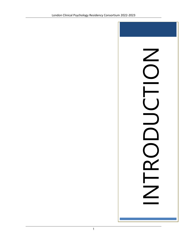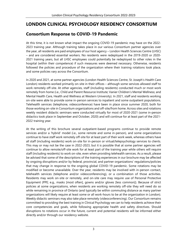# **LONDON CLINICAL PSYCHOLOGY RESIDENCY CONSORTIUM**

# **Consortium Response to COVID-19 Pandemic**

At this time, it is not known what impact the ongoing COVID-19 pandemic may have on the 2022- 2023 training year. Although training takes place in our various Consortium partner agencies over the year, all residents are paid employees of our host agency – London Health Sciences Centre (LHSC) – and are considered essential workers. No residents were redeployed in the 2019-2020 or 2020- 2021 training years, but all LHSC employees could potentially be redeployed to other roles in the hospital (within their competence) if such measures were deemed necessary. Otherwise, residents followed the policies and procedure of the organization where their training rotations took place, and some policies vary across the Consortium.

In 2020 and 2021, at some partner agencies (London Health Sciences Centre, St. Joseph's Health Care London) residents worked primarily on-site in their offices – although some services allowed staff to work remotely off-site. At other agencies, staff (including residents) conducted much or most work remotely from home (i.e., Child and Parent Resource Institute; Vanier Children's Mental Wellness; and Mental Health Care, Health and Wellness at Western University). In 2021, staff and residents working on-site were able to provide some in-person services to inpatient and some outpatient populations. Telehealth services (telephone, videoconference) have been in place since summer 2020, both for those working on-site in Consortium organizations and off-site/from home. Across sites and rotations weekly resident didactic seminars were conducted virtually for most of 2020-2021 (some in-person didactics took place in September and October, 2020) and will continue for at least part of the 2021- 2022 training year.

At the writing of this brochure several outpatient-based programs continue to provide remote services and/or a 'hybrid' model (i.e., some remote and some in-person), and some organizations continue to have staff work remotely off-site for at least part of their work week, whereas others have all staff (including residents) work on-site for in-person or virtual/telepsychology services to clients. This may or may not be the case in 2022-2023, but it is possible that at some partner agencies will continue to allow remote/off-site work for at least part of the training year while others will require staff (including residents) to work on-site, even when providing telehealth services. As a result, please be advised that some of the descriptions of the training experiences in our brochure may be affected by ongoing disruptions and/or by federal, provincial, and partner organizations' regulations/policies that may change in response to the ongoing global COVID-19 pandemic. Some rotations may be modified or become unavailable. Over the year, residents may be involved with in-person contact, telehealth services (telephone and/or videoconferencing), or a combination of those activities. Residents may work on-site or remotely, and on-site care may require use of Personal Protective Equipment (PPE; e.g., masks [most often], gowns and/or gloves [less common]). Because of strict policies at some organizations, when residents are working remotely off-site they will need do so while remaining in province of Ontario (and typically be within commuting distance as many partner organizations will likely require at least some or all work-hours to be at the organization in London). Weekly didactic seminars may also take place remotely (videoconferencing). Our Consortium remains committed to providing the best training in Clinical Psychology we can to help residents achieve their core competencies and goals, while following appropriate health and safety directives. Should disruptions to rotations occur in the future, current and potential residents will be informed either directly and/or through our residency website.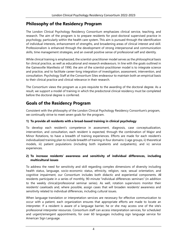# **Philosophy of the Residency Program**

The London Clinical Psychology Residency Consortium emphasizes clinical service, teaching, and research. The aim of the program is to prepare residents for post-doctoral supervised practice in psychology, particularly within the health care system. This aim is pursued through the identification of individual interests, enhancement of strengths, and broadening areas of clinical interest and skill. Professionalism is enhanced through the development of strong interpersonal and communication skills, time management strategies, and an overall positive sense of professional self and identity.

While clinical training is emphasized, the scientist-practitioner model serves as the philosophical basis for clinical practice, as well as educational and research endeavours. In line with the goals outlined in the Gainesville Manifesto of 1990, the aim of the scientist-practitioner model is to integrate science and practice, and to facilitate career-long integration of investigation, assessment, intervention, and consultation. Psychology Staff at the Consortium Sites endeavour to maintain both an empirical basis to their clinical practice and clinical relevance in their research.

The Consortium views the program as a pre-requisite to the awarding of the doctoral degree. As a result, we support a model of training in which the predoctoral clinical residency must be completed before the doctoral degree is conferred.

# **Goals of the Residency Program**

Consistent with the philosophy of the London Clinical Psychology Residency Consortium's program, we continually strive to meet seven goals for the program.

#### **1) To provide all residents with a broad-based training in clinical psychology**

To develop each resident's competence in assessment, diagnosis, case conceptualization, intervention, and consultation, each resident is expected, through the combination of Major and Minor Rotations, to have a breadth of training experiences. Efforts are made for each resident's individualized training plan to include breadth of training in four domains: i) age groups, ii) theoretical models, iii) patient populations (including both inpatients and outpatients), and iv) service experiences.

#### **2) To increase residents' awareness and sensitivity of individual differences, including multicultural issues**

To address the need for sensitivity and skill regarding complex dimensions of diversity including health status, language, socio-economic status, ethnicity, religion, race, sexual orientation, and cognitive impairment, our Consortium includes both didactic and experiential components. All residents participate in a series of monthly, 90-minute "individual differences seminars" (in addition to the weekly clinical/professional seminar series). As well, rotation supervisors monitor their residents' caseloads and, where possible, assign cases that will broaden residents' awareness and sensitivity related to individual differences, including cultural issues.

When language translation or interpretation services are necessary for effective communication to occur with a patient, each organization ensures that appropriate efforts are made to locate an interpreter. If a resident is aware of a language barrier, he or she may access one of the site's professional interpreter resources. Consortium staff can access interpretation services, for scheduled and urgent/emergent appointments, for over 60 languages including sign language service for American Sign Language.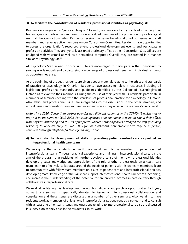#### **3) To facilitate the consolidation of residents' professional identities as psychologists**

Residents are regarded as "junior colleagues." As such, residents are highly involved in setting their training goals and objectives and are considered valued members of the profession of psychology at each of the Consortium Sites. Residents receive the same benefits allotted to permanent staff members and serve as active members on our Consortium Committee. Residents have opportunities to access the organization's resources, attend professional development events, and participate in profession activities. They are typically assigned a primary office at their Consortium Site. Offices are equipped with voicemail as well as a networked computer. Overall, they are treated in a manner similar to Psychology Staff.

All Psychology Staff in each Consortium Site are encouraged to participate in the Consortium by serving as role models and by discussing a wide range of professional issues with individual residents as opportunities arise.

At the beginning of the year, residents are given a set of materials relating to the ethics and standards of practice of psychology in Ontario. Residents have access to relevant resources including all legislation, professional standards, and guidelines identified by the College of Psychologists of Ontario as relevant to their members. During the course of their year with us, residents participate in a number of seminars dealing with the standards of professional practice for psychology in Ontario. Also, ethics and professional issues are integrated into the discussions in the other seminars, and ethical issues and questions are discussed in supervision as they arise in the residents' clinical work.

*Note: since 2020, Consortium partner agencies had different responses to the COVID-19 which may or may not be the same for 2022-2023. For some agencies, staff continued to work on-site in their offices with physical distancing and PPE as appropriate, whereas other agencies arranged for staff (including residents) to work remotely. In 2022-2023 for some rotations, patient/client care may be in-person, conducted through telephone/videoconferencing, or both.* 

#### **4) To facilitate the development of skills in providing patient-centred care as part of an interprofessional health care team**

We recognize that all students in health care must learn to be members of patient-centred interprofessional teams. Through practical experience and training in interprofessional care, it is the aim of the program that residents will further develop a sense of their own professional identity, develop a greater knowledge and appreciation of the role of other professionals on a health care team, learn to effectively collaborate around the needs of patients with fellow team members, learn to communicate with fellow team members on issues of patient care and interprofessional practice, develop a greater knowledge of the skills that support interprofessional health care team functioning, and increase their understanding of the potential for enhanced outcomes in care delivery through collaborative interprofessional care.

We work at facilitating this development through both didactic and practical opportunities. Each year, at least one seminar is specifically devoted to issues of interprofessional collaboration and consultation and these issues are discussed in a number of other seminars. Also, we aim to have residents work as members of at least one interprofessional patient-centred care team and to consult with at least one other team. Issues and questions relating to interprofessional care also are discussed in supervision as they arise in the residents' clinical work.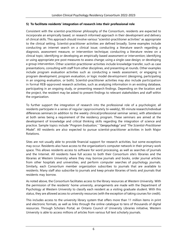#### **5) To facilitate residents' integration of research into their professional role**

Consistent with the scientist-practitioner philosophy of the Consortium, residents are expected to incorporate an empirically based, or research informed approach in their development and delivery of clinical skills. This approach should involve various "scientist-practitioner activities" as appropriate to the clinical setting. Scientist-practitioner activities are defined broadly. Some examples include conducting an internet search on a clinical issue; conducting a literature search regarding a diagnosis, assessment measure, or intervention technique; conducting a literature review on a clinical topic; identifying or developing an empirically based assessment or intervention; identifying or using appropriate pre-post measures to assess change; using a single case design; or developing a group intervention. Other scientist-practitioner activities include knowledge transfer, such as case presentations, consulting with staff from other disciplines, and presenting at rounds. Other examples include program evaluation activities such as conducting a needs assessment, or engaging in program development, program evaluation, or logic model development (designing, participating in an ongoing evaluation, or both). Scientist-practitioner activities may also include participation in formal REB-approved research activities, such as analyzing information in an existing database, participating in an ongoing study, or presenting research findings. Depending on the location and the project, the resident may be asked to present findings to relevant stakeholders and staff within the organization.

To further support the integration of research into the professional role of a psychologist, all residents participate in a series of regular (approximately bi-weekly), 90-minute research/individual differences seminars (in addition to the weekly clinical/professional seminar series), with attendance at both series being a requirement of the residency program. These seminars are aimed at the development of knowledge and critical thinking skills regarding the integration of science and practice. Sample topics include "*Program Evaluation,*" "*Geropsychology"* and "*The Scientist-Practitioner Model*". All residents are also expected to pursue scientist-practitioner activities in both Major Rotations.

Sites are not usually able to provide financial support for research activities, but some exceptions may occur. Residents also have access to the organization's computer network in their primary work space. This allows residents access to software for word processing, as well as searches of journals and the Internet. All residents have full access to both their Consortium site's libraries and the libraries at Western University where they may borrow journals and books, order journal articles from other hospitals and universities, and perform computer searches of psychology journals. Similarly, each Consortium member organization subscribes to journals that are available to residents. Many staff also subscribe to journals and keep private libraries of texts and journals that residents may borrow.

As noted above, the Consortium facilitates access to the library resources at Western University. With the permission of the residents' home university, arrangements are made with the Department of Psychology at Western University to classify each resident as a visiting graduate student. With this status, they are allowed access to university resources (with the exception of taking courses for credit).

This includes access to the university library system that offers more than 11 million items in print and electronic formats, as well as links through the online catalogue to tens of thousands of digital resources. Through Scholars Portal, an Ontario Council of University Libraries initiative, Western University is able to access millions of articles from various full text scholarly journals.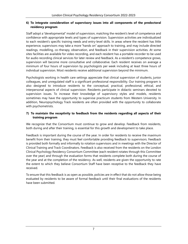#### **6) To integrate consideration of supervisory issues into all components of the predoctoral residency program**

Staff adopt a "developmental" model of supervision, matching the resident's level of competence and confidence with appropriate levels and types of supervision. Supervision activities are individualized to each resident's specific training needs and entry-level skills. In areas where the resident has little experience, supervisors may take a more "hands on" approach to training, and may include directed readings, modelling, co-therapy, observation, and feedback in their supervision activities. At some sites facilities are available for video recording, and each resident has a portable recorder to be used for audio recording clinical services for later review and feedback. As a resident's competence grows, supervision will become more consultative and collaborative. Each resident receives on average a minimum of four hours of supervision by psychologists per week including at least three hours of individual supervision. Most residents receive additional supervision beyond the minimum.

Psychologists working in health care settings appreciate that clinical supervision of students, junior colleagues, and unregulated staff is a significant professional responsibility. Our training program is also designed to introduce residents to the conceptual, practical, professional, ethical, and interpersonal aspects of clinical supervision. Residents participate in didactic seminars devoted to supervision issues. To increase their knowledge of supervisory styles and models, residents sometimes may have the opportunity to supervise practicum students from Western University. In addition, Neuropsychology Track residents are often provided with the opportunity to collaborate with psychometrists.

#### **7) To maintain the receptivity to feedback from the residents regarding all aspects of their training program**

We recognize that the Consortium must continue to grow and develop. Feedback from residents, both during and after their training, is essential for this growth and development to take place.

Feedback is important during the course of the year. In order for residents to receive the maximum benefit from their training, they must feel comfortable providing feedback to supervisors. Feedback is provided both formally and informally to rotation supervisors and in meetings with the Director of Clinical Training and Track Coordinators. Feedback is also received from the residents on the London Clinical Psychology Residency Consortium Committee (each resident rotates through this Committee over the year) and through the evaluation forms that residents complete both during the course of the year and at the completion of the residency. As well, residents are given the opportunity to rate the extent to which they believe Consortium Staff have been receptive to the feedback they have received.

To ensure that this feedback is as open as possible, policies are in effect that do not allow those being evaluated by residents to be aware of formal feedback until their final evaluations of the residents have been submitted.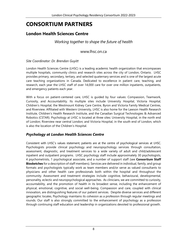# **CONSORTIUM PARTNERS**

## **London Health Sciences Centre**

*Working together to shape the future of health*

[www.lhsc.on.ca](http://www.lhsc.on.ca/)

*Site Coordinator: Dr. Brendan Guyitt*

London Health Sciences Centre (LHSC) is a leading academic health organization that encompasses multiple hospitals, community clinics and research sites across the city of London, Ontario. LHSC provides primary, secondary, tertiary, and selected quaternary services and is one of the largest acute care teaching organizations in Canada. Dedicated to excellence in patient care, teaching, and research, each year the LHSC staff of over 14,000 care for over one million inpatients, outpatients, and emergency patients each year.

With a focus on patient-centered care, LHSC is guided by four values: Compassion, Teamwork, Curiosity, and Accountability. Its multiple sites include University Hospital, Victoria Hospital, Children's Hospital, the Westmount Kidney Care Centre, Byron and Victoria Family Medical Centres, and Riverview. Affiliated with Western University, LHSC is also home for the Lawson Health Research Institute, Children's Health Research Institute, and the Canadian Surgical Technologies & Advanced Robotics (CSTAR). Psychology at LHSC is located at three sites: University Hospital, in the north end of London; Riverview near central London; and Victoria Hospital, in the south end of London, which is also the location of the Children's Hospital.

## *Psychology at London Health Sciences Centre*

Consistent with LHSC's values statement, patients are at the centre of psychological services at LHSC. Psychologists provide clinical psychology and neuropsychology services through consultation, assessment, diagnostic, and treatment services to a wide variety of adult and child/adolescent inpatient and outpatient programs. LHSC psychology staff include approximately 30 psychologists, 4 psychometrists, 1 psychological associate, and a number of support staff (see **Consortium Staff Biosketches** for a description of staff members). Services are delivered in individual, family, and group formats and psychologists typically work as team members and/or serve as valued consultants to physicians and other health care professionals both within the hospital and throughout the community. Assessment and treatment strategies include cognitive, behavioural, developmental, personality, eclectic and neuropsychological approaches. As clinicians, we are committed to curiosity, accountability, and the promotion of health in its broadest sense, including the enhancement of physical, emotional, cognitive, and social well-being. Compassion and care, coupled with clinical innovation, are distinguishing features of our patient services. Despite diverse services and different geographic locales, Psychology maintains its cohesion as a profession through regular meetings and rounds. Our staff is also strongly committed to the enhancement of psychology as a profession through continuing staff education and leadership in organizations devoted to professional growth.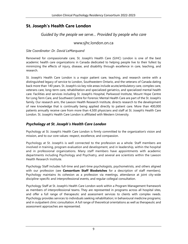# **St. Joseph's Health Care London**

*Guided by the people we serve… Provided by people who care*

[www.sjhc.london.on.ca](http://www.sjhc.london.on.ca/)

*Site Coordinator: Dr. David LeMarquand*

Renowned for compassionate care, St. Joseph's Health Care (SJHC) London is one of the best academic health care organizations in Canada dedicated to helping people live to their fullest by minimizing the effects of injury, disease, and disability through excellence in care, teaching, and research.

St. Joseph's Health Care London is a major patient care, teaching, and research centre with a distinguished legacy of service to London, Southwestern Ontario, and the veterans of Canada dating back more than 140 years. St. Joseph's six key role areas include acute/ambulatory care, complex care, veterans care, long-term care, rehabilitation and specialized geriatrics, and specialized mental health care. Facilities and services including St. Joseph's Hospital, Parkwood Institute, Mount Hope Centre for Long Term Care, and Southwest Centre for Forensic Mental Health Care are part of the St. Joseph's family. Our research arm, the Lawson Health Research Institute, directs research to the development of new knowledge that is continually being applied directly to patient care. More than 400,000 patients annually receive care from more than 4,500 physicians and staff at St. Joseph's Health Care London. St. Joseph's Health Care London is affiliated with Western University.

## *Psychology at St. Joseph's Health Care London*

Psychology at St. Joseph's Health Care London is firmly committed to the organization's vision and mission, and to our core values: respect, excellence, and compassion.

Psychology at St. Joseph's is well connected to the profession as a whole. Staff members are involved in training, program evaluation and development, and in leadership, within the hospital and in professional organizations. Many staff members have appointments with academic departments including Psychology and Psychiatry, and several are scientists within the Lawson Health Research Institute.

Psychology Staff includes full-time and part-time psychologists, psychometrists, and others aligned with our profession (see **Consortium Staff Biosketches** for a description of staff members). Psychology maintains its cohesion as a profession via meetings, attendance at joint city-wide discipline-specific and interprofessional events, and regular collegial consultation.

Psychology Staff at St. Joseph's Health Care London work within a Program Management framework as members of interprofessional teams. They are represented in programs across all hospital sites, and offer a full range of therapeutic and assessment services to clients with complex needs. Psychology provides services to individuals seeking rehabilitation; in behavioural medicine programs; and in outpatient clinic consultation. A full range of theoretical orientations as well as therapeutic and assessment approaches are represented.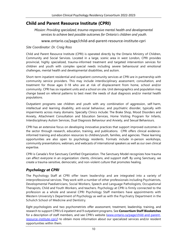## **Child and Parent Resource Institute (CPRI)**

*Mission: Providing specialized, trauma-responsive mental health and developmental services to achieve best possible outcomes for Ontario's children and youth.*

#### www.ontario.ca/page/child-and-parent-resource-institute-cpri

#### *Site Coordinator: Dr. Craig Ross*

Child and Parent Resource Institute (CPRI) is operated directly by the Ontario Ministry of Children, Community and Social Services. Located in a large, scenic area in west London, CPRI provides provincial, highly specialized, trauma-informed treatment and targeted intervention services for children and youth with complex special needs including severe behavioural and emotional challenges, mental health and developmental disabilities, and autism.

Short-term inpatient residential and outpatient community services at CPRI are in partnership with community service providers. This may include interdisciplinary assessment, consultation, and treatment for those ages 0-18 who are at risk of displacement from home, school and/or community. CPRI has six inpatient units and a school on site. Unit demographics and population may change based on referral patterns to best meet the needs of dual diagnosis and/or mental health populations.

Outpatient programs see children and youth with any combination of aggression, self-harm, intellectual and learning disability, anti-social behaviour, and psychiatric disorder, typically with impairments across many domains. Specialty Clinics include: The Brake Shop, Mood Disorders and Anxiety, Attachment Consultation and Education Services, Home Visiting Program for Infants, Interdisciplinary Autism Services, Dual Diagnosis Behaviour and Anxiety, and Sexual Behaviours.

CPRI has an extensive focus on developing innovative practices that support improved outcomes in the sector through research, education, training, and publications. CPRI offers clinical evidenceinformed training and education resources to children/youth, families, and agencies. These learning opportunities are also open to psychology residents. Formats include in-person workshops, community presentations, webinars, and webcasts of international speakers as well as our own clinical expertise.

CPRI is Canada's first Sanctuary Certified Organization. The Sanctuary Model recognizes how trauma can affect everyone in an organization: clients, clinicians, and support staff. By using Sanctuary, we create a trauma-sensitive, democratic, and non-violent culture that promotes healing.

## *Psychology at CPRI*

The Psychology Staff at CPRI offer team leadership and are integrated into a variety of interprofessional services. They work with a number of other professionals including Psychiatrists, Developmental Paediatricians, Social Workers, Speech and Language Pathologists, Occupational Therapists, Child and Youth Workers, and teachers. Psychology at CPRI is firmly connected to the profession as a whole and several CPRI Psychology Staff members have appointments with Western University's Department of Psychology as well as with the Psychiatry Department in the Schulich School of Medicine and Dentistry.

Eight psychologists and two psychometrists offer assessment, treatment, leadership, training, and research to support CPRI's 6 inpatient and 9 outpatient programs. See **Consortium Staff Biosketches**  for a description of staff members, and see CPRI's website [\(www.ontario.ca/page/child-and-parent](http://www.ontario.ca/page/child-and-parent-resource-institute-cpri/)[resource-institute-cpri/\)](http://www.ontario.ca/page/child-and-parent-resource-institute-cpri/) to obtain more information about our specialized services and/or resident opportunities within them.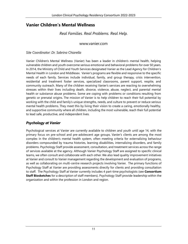## **Vanier Children's Mental Wellness**

## *Real Families. Real Problems. Real Help.*

#### [www.vanier.com](http://www.vanier.com/)

#### *Site Coordinator: Dr. Sabrina Chiarella*

Vanier Children's Mental Wellness (Vanier) has been a leader in children's mental health, helping vulnerable children and youth overcome serious emotional and behavioral problems for over 50 years. In 2014, the Ministry of Child and Youth Services designated Vanier as the Lead Agency for Children's Mental Health in London and Middlesex. Vanier's programs are flexible and responsive to the specific needs of each family. Services include individual, family, and group therapy, crisis intervention, residential and treatment foster services, specialized classrooms, parent support, respite, and community outreach. Many of the children receiving Vanier's services are reacting to overwhelming stresses within their lives including death, divorce, violence, abuse, neglect, and parental mental health or substance abuse problems. Some are coping with problems or conditions resulting from genetic or prenatal origins. The mission of Vanier is to help children to reach their full potential by working with the child and family's unique strengths, needs, and culture to prevent or reduce serious mental health problems. They meet this by living their vision to create a caring, emotionally healthy, and supportive community where all children, including the most vulnerable, reach their full potential to lead safe, productive, and independent lives.

## *Psychology at Vanier*

Psychological services at Vanier are currently available to children and youth until age 14, with the primary focus on pre-school and pre-adolescent age groups. Vanier's clients are among the most complex in the children's mental health system, often meeting criteria for externalizing behaviour disorders compounded by trauma histories, learning disabilities, internalizing disorders, and family problems. Psychology Staff provide assessment, consultation, and treatment services across the range of services available at the agency. Although Vanier Psychology Staff are assigned to specific clinical teams, we often consult and collaborate with each other. We also lead quality improvement initiatives at Vanier and consult to Vanier management regarding the development and evaluation of programs, as well as collaborating on multi-centre research projects involving Vanier. The primary functions of Psychology Staff at Vanier are providing assessments directly for clients and providing consultation to staff. The Psychology Staff at Vanier currently includes 4 part-time psychologists (see **Consortium Staff Biosketches** for a description of staff members). Psychology Staff provide leadership within the organization and within the profession in London and region.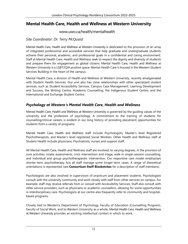## **Mental Health Care, Health and Wellness at Western University**

www.uwo.ca/health/mentalhealth

### *Site Coordinator: Dr. Terry McQuaid*

Mental Health Care, Health and Wellness at Western University is dedicated to the provision of an array of integrated professional and accessible services that help graduate and undergraduate students achieve their personal, academic, and professional goals in a confidential and caring environment. Staff at Mental Health Care, Health and Wellness seek to respect the dignity and diversity of students and prepare them for engagement as global citizens. Mental Health Care, Health and Wellness at Western University is a LGBT2QIA positive space. Mental Health Care is housed in the Western Student Services Building in the heart of the campus.

Mental Health Care, a division of Health and Wellness at Western University, recently amalgamated with Student Health Services. Our unit also has close relationships with other specialized student services, such as Student Accessibility Services, Campus Case Management, Learning Development and Success, the Writing Centre, Academic Counselling, the Indigenous Student Centre, and the International and Exchange Student Centre.

## *Psychology at Western's Mental Health Care, Health and Wellness*

Mental Health Care, Health and Wellness at Western University is governed by the guiding values of the university and the profession of psychology. A commitment to the training of students for counselling/clinical careers is evident in our long history of providing placement opportunities for students from a variety of programs.

Mental Health Care, Health and Wellness staff include Psychologists, Master's level Registered Psychotherapists, and Master's level registered Social Workers. Other Health and Wellness staff at Student Health include physicians, Psychiatrists, nurses and support staff.

All Mental Health Care, Health and Wellness staff are involved, to varying degrees, in the provision of core activities: intake assessments, crisis intervention and triage, walk-in single-session counselling, and individual and group psychotherapeutic intervention. Our responsive care model emphasizes shorter-term psychotherapy, but all staff manage some longer-term cases. A range of theoretical orientations is represented (see **Consortium Staff Biosketches** for a description of staff members).

Psychologists are also involved in supervision of practicum and placement students. Psychologists consult with the university community and work closely with staff from other services on campus. For example, staff may receive referrals from or consult with Accessibility Services. Staff also consult with other service providers, such as physicians or academic counsellors, allowing for some opportunities in interdisciplinary care. Psychologists at our centre also frequently refer to community and hospitalbased programs.

Closely tied to Western's Department of Psychology, Faculty of Education (Counselling Program), Faculty of Social Work, and to Western University as a whole, Mental Health Care, Health and Wellness at Western University provides an exciting intellectual context in which to work.